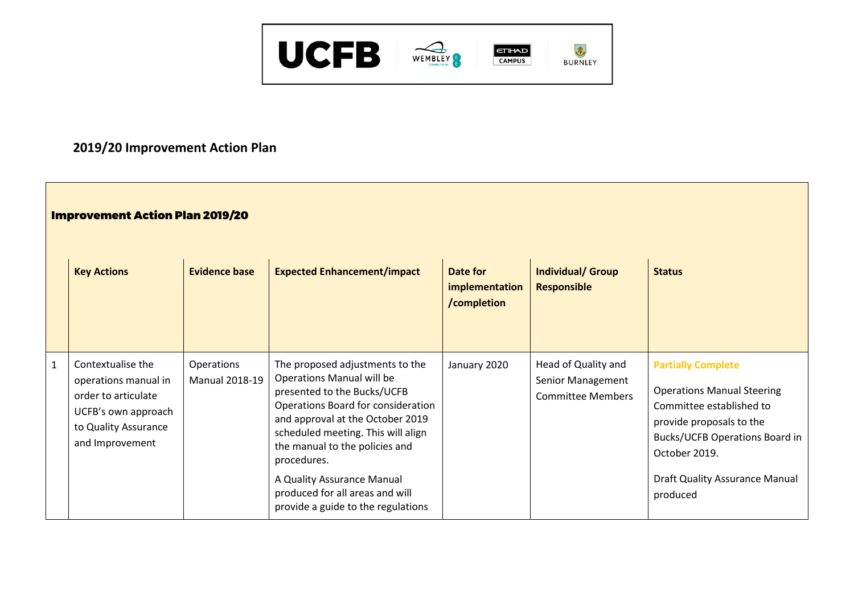

## **2019/20 Improvement Action Plan**

## Improvement Action Plan 2019/20

| <b>Key Actions</b>                                                                                                                 | <b>Evidence base</b>                | <b>Expected Enhancement/impact</b>                                                                                                                                                                                                            | Date for<br>implementation<br>/completion | <b>Individual/ Group</b><br><b>Responsible</b>                       | <b>Status</b>                                                                                                                                                             |
|------------------------------------------------------------------------------------------------------------------------------------|-------------------------------------|-----------------------------------------------------------------------------------------------------------------------------------------------------------------------------------------------------------------------------------------------|-------------------------------------------|----------------------------------------------------------------------|---------------------------------------------------------------------------------------------------------------------------------------------------------------------------|
| Contextualise the<br>operations manual in<br>order to articulate<br>UCFB's own approach<br>to Quality Assurance<br>and Improvement | Operations<br><b>Manual 2018-19</b> | The proposed adjustments to the<br>Operations Manual will be<br>presented to the Bucks/UCFB<br>Operations Board for consideration<br>and approval at the October 2019<br>scheduled meeting. This will align<br>the manual to the policies and | January 2020                              | Head of Quality and<br>Senior Management<br><b>Committee Members</b> | <b>Partially Complete</b><br><b>Operations Manual Steering</b><br>Committee established to<br>provide proposals to the<br>Bucks/UCFB Operations Board in<br>October 2019. |
|                                                                                                                                    |                                     | procedures.<br>A Quality Assurance Manual<br>produced for all areas and will<br>provide a guide to the regulations                                                                                                                            |                                           |                                                                      | <b>Draft Quality Assurance Manual</b><br>produced                                                                                                                         |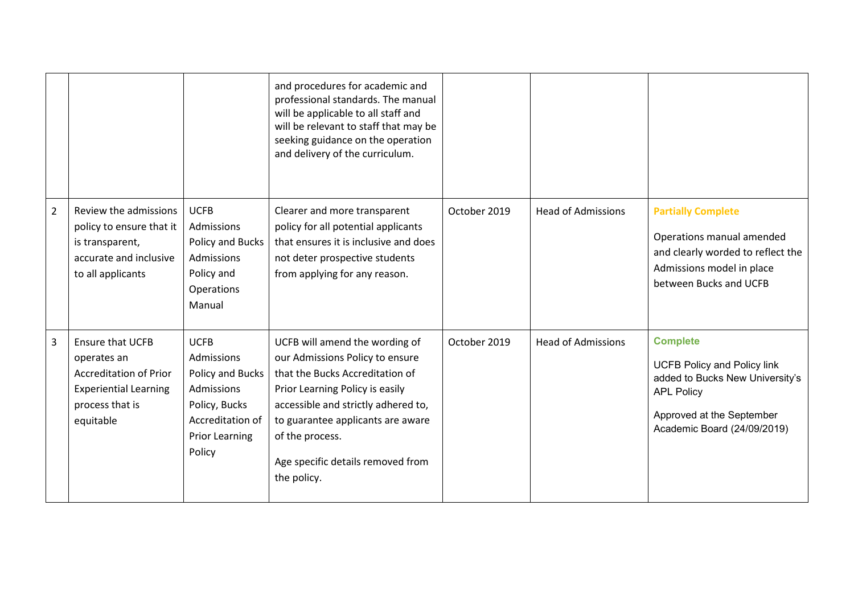|                |                                                                                                                                         |                                                                                                                                     | and procedures for academic and<br>professional standards. The manual<br>will be applicable to all staff and<br>will be relevant to staff that may be<br>seeking guidance on the operation<br>and delivery of the curriculum.                                                              |              |                           |                                                                                                                                                                           |
|----------------|-----------------------------------------------------------------------------------------------------------------------------------------|-------------------------------------------------------------------------------------------------------------------------------------|--------------------------------------------------------------------------------------------------------------------------------------------------------------------------------------------------------------------------------------------------------------------------------------------|--------------|---------------------------|---------------------------------------------------------------------------------------------------------------------------------------------------------------------------|
| $\overline{2}$ | Review the admissions<br>policy to ensure that it<br>is transparent,<br>accurate and inclusive<br>to all applicants                     | <b>UCFB</b><br>Admissions<br>Policy and Bucks<br>Admissions<br>Policy and<br>Operations<br>Manual                                   | Clearer and more transparent<br>policy for all potential applicants<br>that ensures it is inclusive and does<br>not deter prospective students<br>from applying for any reason.                                                                                                            | October 2019 | <b>Head of Admissions</b> | <b>Partially Complete</b><br>Operations manual amended<br>and clearly worded to reflect the<br>Admissions model in place<br>between Bucks and UCFB                        |
| 3              | <b>Ensure that UCFB</b><br>operates an<br><b>Accreditation of Prior</b><br><b>Experiential Learning</b><br>process that is<br>equitable | <b>UCFB</b><br>Admissions<br>Policy and Bucks<br>Admissions<br>Policy, Bucks<br>Accreditation of<br><b>Prior Learning</b><br>Policy | UCFB will amend the wording of<br>our Admissions Policy to ensure<br>that the Bucks Accreditation of<br>Prior Learning Policy is easily<br>accessible and strictly adhered to,<br>to guarantee applicants are aware<br>of the process.<br>Age specific details removed from<br>the policy. | October 2019 | <b>Head of Admissions</b> | <b>Complete</b><br><b>UCFB Policy and Policy link</b><br>added to Bucks New University's<br><b>APL Policy</b><br>Approved at the September<br>Academic Board (24/09/2019) |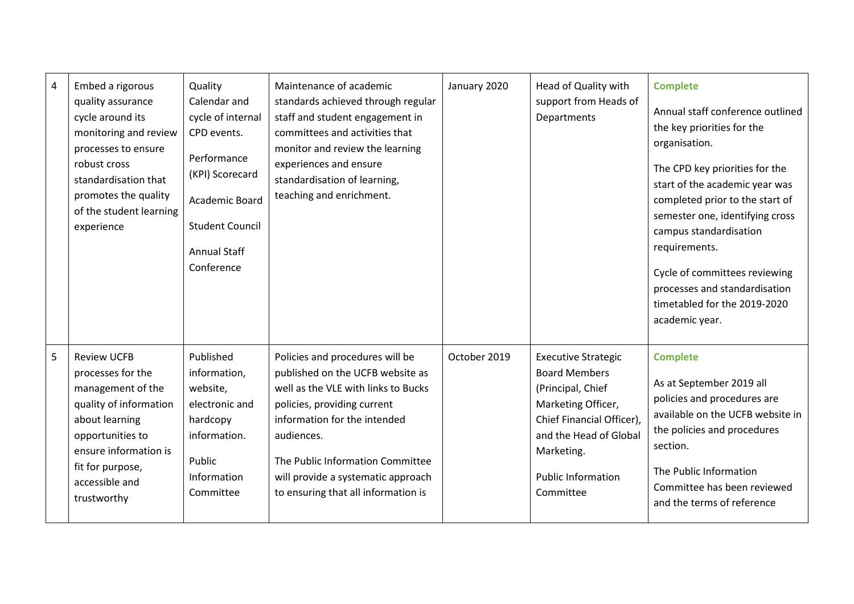| $\overline{4}$ | Embed a rigorous<br>quality assurance<br>cycle around its<br>monitoring and review<br>processes to ensure<br>robust cross<br>standardisation that<br>promotes the quality<br>of the student learning<br>experience | Quality<br>Calendar and<br>cycle of internal<br>CPD events.<br>Performance<br>(KPI) Scorecard<br>Academic Board<br><b>Student Council</b><br><b>Annual Staff</b><br>Conference | Maintenance of academic<br>standards achieved through regular<br>staff and student engagement in<br>committees and activities that<br>monitor and review the learning<br>experiences and ensure<br>standardisation of learning,<br>teaching and enrichment.                                              | January 2020 | Head of Quality with<br>support from Heads of<br>Departments                                                                                                                                                 | <b>Complete</b><br>Annual staff conference outlined<br>the key priorities for the<br>organisation.<br>The CPD key priorities for the<br>start of the academic year was<br>completed prior to the start of<br>semester one, identifying cross<br>campus standardisation<br>requirements.<br>Cycle of committees reviewing<br>processes and standardisation<br>timetabled for the 2019-2020<br>academic year. |
|----------------|--------------------------------------------------------------------------------------------------------------------------------------------------------------------------------------------------------------------|--------------------------------------------------------------------------------------------------------------------------------------------------------------------------------|----------------------------------------------------------------------------------------------------------------------------------------------------------------------------------------------------------------------------------------------------------------------------------------------------------|--------------|--------------------------------------------------------------------------------------------------------------------------------------------------------------------------------------------------------------|-------------------------------------------------------------------------------------------------------------------------------------------------------------------------------------------------------------------------------------------------------------------------------------------------------------------------------------------------------------------------------------------------------------|
| 5              | <b>Review UCFB</b><br>processes for the<br>management of the<br>quality of information<br>about learning<br>opportunities to<br>ensure information is<br>fit for purpose,<br>accessible and<br>trustworthy         | Published<br>information,<br>website,<br>electronic and<br>hardcopy<br>information.<br>Public<br>Information<br>Committee                                                      | Policies and procedures will be<br>published on the UCFB website as<br>well as the VLE with links to Bucks<br>policies, providing current<br>information for the intended<br>audiences.<br>The Public Information Committee<br>will provide a systematic approach<br>to ensuring that all information is | October 2019 | <b>Executive Strategic</b><br><b>Board Members</b><br>(Principal, Chief<br>Marketing Officer,<br>Chief Financial Officer),<br>and the Head of Global<br>Marketing.<br><b>Public Information</b><br>Committee | <b>Complete</b><br>As at September 2019 all<br>policies and procedures are<br>available on the UCFB website in<br>the policies and procedures<br>section.<br>The Public Information<br>Committee has been reviewed<br>and the terms of reference                                                                                                                                                            |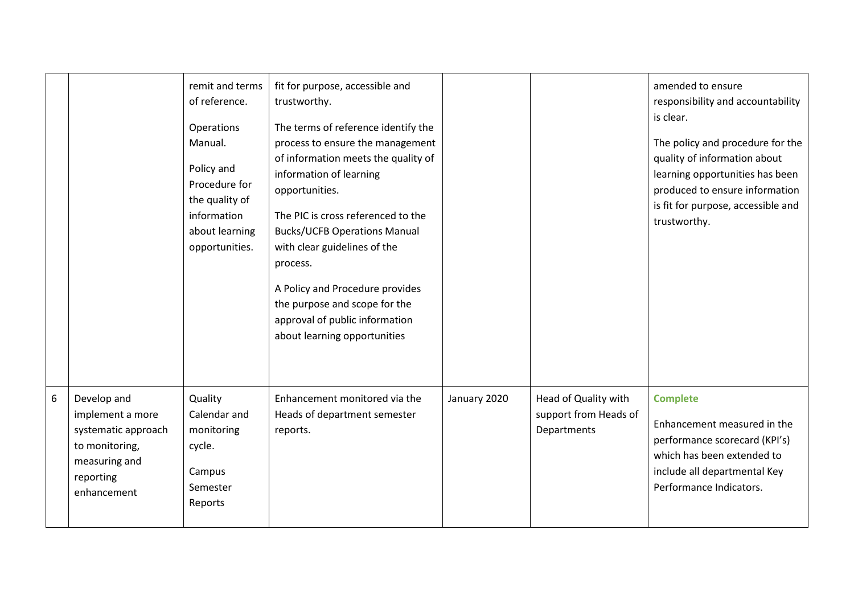|                 |                                                                                                                       | remit and terms<br>of reference.<br>Operations<br>Manual.<br>Policy and<br>Procedure for<br>the quality of<br>information<br>about learning<br>opportunities. | fit for purpose, accessible and<br>trustworthy.<br>The terms of reference identify the<br>process to ensure the management<br>of information meets the quality of<br>information of learning<br>opportunities.<br>The PIC is cross referenced to the<br><b>Bucks/UCFB Operations Manual</b><br>with clear guidelines of the<br>process.<br>A Policy and Procedure provides<br>the purpose and scope for the<br>approval of public information<br>about learning opportunities |              |                                                              | amended to ensure<br>responsibility and accountability<br>is clear.<br>The policy and procedure for the<br>quality of information about<br>learning opportunities has been<br>produced to ensure information<br>is fit for purpose, accessible and<br>trustworthy. |
|-----------------|-----------------------------------------------------------------------------------------------------------------------|---------------------------------------------------------------------------------------------------------------------------------------------------------------|-------------------------------------------------------------------------------------------------------------------------------------------------------------------------------------------------------------------------------------------------------------------------------------------------------------------------------------------------------------------------------------------------------------------------------------------------------------------------------|--------------|--------------------------------------------------------------|--------------------------------------------------------------------------------------------------------------------------------------------------------------------------------------------------------------------------------------------------------------------|
| $6\phantom{1}6$ | Develop and<br>implement a more<br>systematic approach<br>to monitoring,<br>measuring and<br>reporting<br>enhancement | Quality<br>Calendar and<br>monitoring<br>cycle.<br>Campus<br>Semester<br>Reports                                                                              | Enhancement monitored via the<br>Heads of department semester<br>reports.                                                                                                                                                                                                                                                                                                                                                                                                     | January 2020 | Head of Quality with<br>support from Heads of<br>Departments | <b>Complete</b><br>Enhancement measured in the<br>performance scorecard (KPI's)<br>which has been extended to<br>include all departmental Key<br>Performance Indicators.                                                                                           |